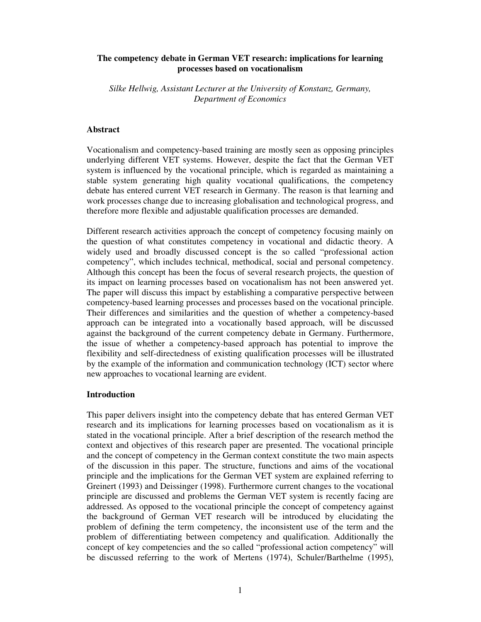## **The competency debate in German VET research: implications for learning processes based on vocationalism**

*Silke Hellwig, Assistant Lecturer at the University of Konstanz, Germany, Department of Economics*

### **Abstract**

Vocationalism and competency-based training are mostly seen as opposing principles underlying different VET systems. However, despite the fact that the German VET system is influenced by the vocational principle, which is regarded as maintaining a stable system generating high quality vocational qualifications, the competency debate has entered current VET research in Germany. The reason is that learning and work processes change due to increasing globalisation and technological progress, and therefore more flexible and adjustable qualification processes are demanded.

Different research activities approach the concept of competency focusing mainly on the question of what constitutes competency in vocational and didactic theory. A widely used and broadly discussed concept is the so called "professional action competency", which includes technical, methodical, social and personal competency. Although this concept has been the focus of several research projects, the question of its impact on learning processes based on vocationalism has not been answered yet. The paper will discuss this impact by establishing a comparative perspective between competency-based learning processes and processes based on the vocational principle. Their differences and similarities and the question of whether a competency-based approach can be integrated into a vocationally based approach, will be discussed against the background of the current competency debate in Germany. Furthermore, the issue of whether a competency-based approach has potential to improve the flexibility and self-directedness of existing qualification processes will be illustrated by the example of the information and communication technology (ICT) sector where new approaches to vocational learning are evident.

## **Introduction**

This paper delivers insight into the competency debate that has entered German VET research and its implications for learning processes based on vocationalism as it is stated in the vocational principle. After a brief description of the research method the context and objectives of this research paper are presented. The vocational principle and the concept of competency in the German context constitute the two main aspects of the discussion in this paper. The structure, functions and aims of the vocational principle and the implications for the German VET system are explained referring to Greinert (1993) and Deissinger (1998). Furthermore current changes to the vocational principle are discussed and problems the German VET system is recently facing are addressed. As opposed to the vocational principle the concept of competency against the background of German VET research will be introduced by elucidating the problem of defining the term competency, the inconsistent use of the term and the problem of differentiating between competency and qualification. Additionally the concept of key competencies and the so called "professional action competency" will be discussed referring to the work of Mertens (1974), Schuler/Barthelme (1995),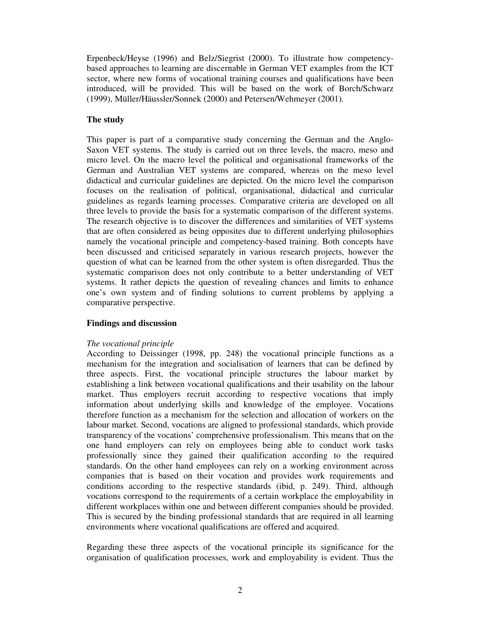Erpenbeck/Heyse (1996) and Belz/Siegrist (2000). To illustrate how competencybased approaches to learning are discernable in German VET examples from the ICT sector, where new forms of vocational training courses and qualifications have been introduced, will be provided. This will be based on the work of Borch/Schwarz (1999), Müller/Häussler/Sonnek (2000) and Petersen/Wehmeyer (2001).

# **The study**

This paper is part of a comparative study concerning the German and the Anglo-Saxon VET systems. The study is carried out on three levels, the macro, meso and micro level. On the macro level the political and organisational frameworks of the German and Australian VET systems are compared, whereas on the meso level didactical and curricular guidelines are depicted. On the micro level the comparison focuses on the realisation of political, organisational, didactical and curricular guidelines as regards learning processes. Comparative criteria are developed on all three levels to provide the basis for a systematic comparison of the different systems. The research objective is to discover the differences and similarities of VET systems that are often considered as being opposites due to different underlying philosophies namely the vocational principle and competency-based training. Both concepts have been discussed and criticised separately in various research projects, however the question of what can be learned from the other system is often disregarded. Thus the systematic comparison does not only contribute to a better understanding of VET systems. It rather depicts the question of revealing chances and limits to enhance one's own system and of finding solutions to current problems by applying a comparative perspective.

# **Findings and discussion**

# *The vocational principle*

According to Deissinger (1998, pp. 248) the vocational principle functions as a mechanism for the integration and socialisation of learners that can be defined by three aspects. First, the vocational principle structures the labour market by establishing a link between vocational qualifications and their usability on the labour market. Thus employers recruit according to respective vocations that imply information about underlying skills and knowledge of the employee. Vocations therefore function as a mechanism for the selection and allocation of workers on the labour market. Second, vocations are aligned to professional standards, which provide transparency of the vocations' comprehensive professionalism. This means that on the one hand employers can rely on employees being able to conduct work tasks professionally since they gained their qualification according to the required standards. On the other hand employees can rely on a working environment across companies that is based on their vocation and provides work requirements and conditions according to the respective standards (ibid, p. 249). Third, although vocations correspond to the requirements of a certain workplace the employability in different workplaces within one and between different companies should be provided. This is secured by the binding professional standards that are required in all learning environments where vocational qualifications are offered and acquired.

Regarding these three aspects of the vocational principle its significance for the organisation of qualification processes, work and employability is evident. Thus the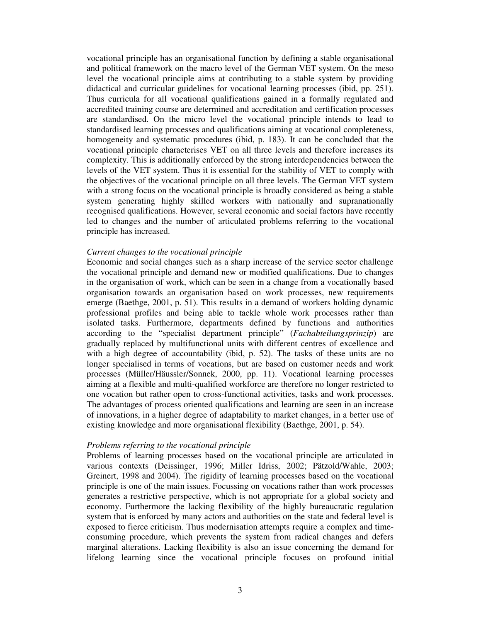vocational principle has an organisational function by defining a stable organisational and political framework on the macro level of the German VET system. On the meso level the vocational principle aims at contributing to a stable system by providing didactical and curricular guidelines for vocational learning processes (ibid, pp. 251). Thus curricula for all vocational qualifications gained in a formally regulated and accredited training course are determined and accreditation and certification processes are standardised. On the micro level the vocational principle intends to lead to standardised learning processes and qualifications aiming at vocational completeness, homogeneity and systematic procedures (ibid, p. 183). It can be concluded that the vocational principle characterises VET on all three levels and therefore increases its complexity. This is additionally enforced by the strong interdependencies between the levels of the VET system. Thus it is essential for the stability of VET to comply with the objectives of the vocational principle on all three levels. The German VET system with a strong focus on the vocational principle is broadly considered as being a stable system generating highly skilled workers with nationally and supranationally recognised qualifications. However, several economic and social factors have recently led to changes and the number of articulated problems referring to the vocational principle has increased.

#### *Current changes to the vocational principle*

Economic and social changes such as a sharp increase of the service sector challenge the vocational principle and demand new or modified qualifications. Due to changes in the organisation of work, which can be seen in a change from a vocationally based organisation towards an organisation based on work processes, new requirements emerge (Baethge, 2001, p. 51). This results in a demand of workers holding dynamic professional profiles and being able to tackle whole work processes rather than isolated tasks. Furthermore, departments defined by functions and authorities according to the "specialist department principle" (*Fachabteilungsprinzip*) are gradually replaced by multifunctional units with different centres of excellence and with a high degree of accountability (ibid, p. 52). The tasks of these units are no longer specialised in terms of vocations, but are based on customer needs and work processes (Müller/Häussler/Sonnek, 2000, pp. 11). Vocational learning processes aiming at a flexible and multi-qualified workforce are therefore no longer restricted to one vocation but rather open to cross-functional activities, tasks and work processes. The advantages of process oriented qualifications and learning are seen in an increase of innovations, in a higher degree of adaptability to market changes, in a better use of existing knowledge and more organisational flexibility (Baethge, 2001, p. 54).

#### *Problems referring to the vocational principle*

Problems of learning processes based on the vocational principle are articulated in various contexts (Deissinger, 1996; Miller Idriss, 2002; Pätzold/Wahle, 2003; Greinert, 1998 and 2004). The rigidity of learning processes based on the vocational principle is one of the main issues. Focussing on vocations rather than work processes generates a restrictive perspective, which is not appropriate for a global society and economy. Furthermore the lacking flexibility of the highly bureaucratic regulation system that is enforced by many actors and authorities on the state and federal level is exposed to fierce criticism. Thus modernisation attempts require a complex and timeconsuming procedure, which prevents the system from radical changes and defers marginal alterations. Lacking flexibility is also an issue concerning the demand for lifelong learning since the vocational principle focuses on profound initial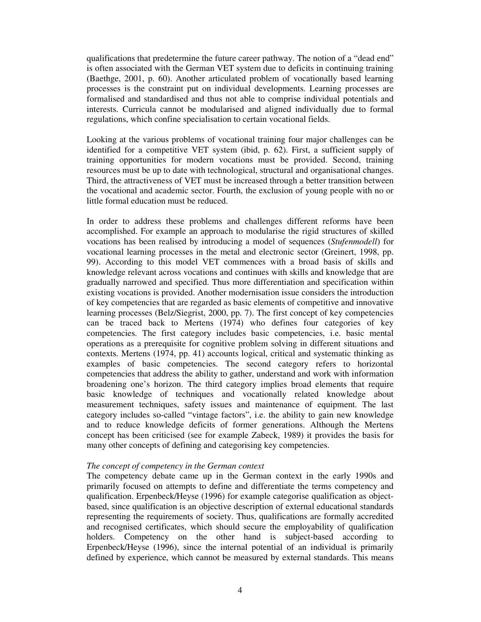qualifications that predetermine the future career pathway. The notion of a "dead end" is often associated with the German VET system due to deficits in continuing training (Baethge, 2001, p. 60). Another articulated problem of vocationally based learning processes is the constraint put on individual developments. Learning processes are formalised and standardised and thus not able to comprise individual potentials and interests. Curricula cannot be modularised and aligned individually due to formal regulations, which confine specialisation to certain vocational fields.

Looking at the various problems of vocational training four major challenges can be identified for a competitive VET system (ibid, p. 62). First, a sufficient supply of training opportunities for modern vocations must be provided. Second, training resources must be up to date with technological, structural and organisational changes. Third, the attractiveness of VET must be increased through a better transition between the vocational and academic sector. Fourth, the exclusion of young people with no or little formal education must be reduced.

In order to address these problems and challenges different reforms have been accomplished. For example an approach to modularise the rigid structures of skilled vocations has been realised by introducing a model of sequences (*Stufenmodell*) for vocational learning processes in the metal and electronic sector (Greinert, 1998, pp. 99). According to this model VET commences with a broad basis of skills and knowledge relevant across vocations and continues with skills and knowledge that are gradually narrowed and specified. Thus more differentiation and specification within existing vocations is provided. Another modernisation issue considers the introduction of key competencies that are regarded as basic elements of competitive and innovative learning processes (Belz/Siegrist, 2000, pp. 7). The first concept of key competencies can be traced back to Mertens (1974) who defines four categories of key competencies. The first category includes basic competencies, i.e. basic mental operations as a prerequisite for cognitive problem solving in different situations and contexts. Mertens (1974, pp. 41) accounts logical, critical and systematic thinking as examples of basic competencies. The second category refers to horizontal competencies that address the ability to gather, understand and work with information broadening one's horizon. The third category implies broad elements that require basic knowledge of techniques and vocationally related knowledge about measurement techniques, safety issues and maintenance of equipment. The last category includes so-called "vintage factors", i.e. the ability to gain new knowledge and to reduce knowledge deficits of former generations. Although the Mertens concept has been criticised (see for example Zabeck, 1989) it provides the basis for many other concepts of defining and categorising key competencies.

### *The concept of competency in the German context*

The competency debate came up in the German context in the early 1990s and primarily focused on attempts to define and differentiate the terms competency and qualification. Erpenbeck/Heyse (1996) for example categorise qualification as objectbased, since qualification is an objective description of external educational standards representing the requirements of society. Thus, qualifications are formally accredited and recognised certificates, which should secure the employability of qualification holders. Competency on the other hand is subject-based according to Erpenbeck/Heyse (1996), since the internal potential of an individual is primarily defined by experience, which cannot be measured by external standards. This means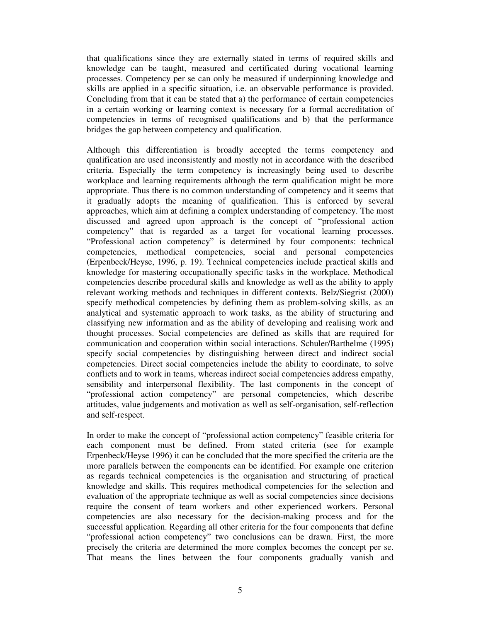that qualifications since they are externally stated in terms of required skills and knowledge can be taught, measured and certificated during vocational learning processes. Competency per se can only be measured if underpinning knowledge and skills are applied in a specific situation, i.e. an observable performance is provided. Concluding from that it can be stated that a) the performance of certain competencies in a certain working or learning context is necessary for a formal accreditation of competencies in terms of recognised qualifications and b) that the performance bridges the gap between competency and qualification.

Although this differentiation is broadly accepted the terms competency and qualification are used inconsistently and mostly not in accordance with the described criteria. Especially the term competency is increasingly being used to describe workplace and learning requirements although the term qualification might be more appropriate. Thus there is no common understanding of competency and it seems that it gradually adopts the meaning of qualification. This is enforced by several approaches, which aim at defining a complex understanding of competency. The most discussed and agreed upon approach is the concept of "professional action competency" that is regarded as a target for vocational learning processes. "Professional action competency" is determined by four components: technical competencies, methodical competencies, social and personal competencies (Erpenbeck/Heyse, 1996, p. 19). Technical competencies include practical skills and knowledge for mastering occupationally specific tasks in the workplace. Methodical competencies describe procedural skills and knowledge as well as the ability to apply relevant working methods and techniques in different contexts. Belz/Siegrist (2000) specify methodical competencies by defining them as problem-solving skills, as an analytical and systematic approach to work tasks, as the ability of structuring and classifying new information and as the ability of developing and realising work and thought processes. Social competencies are defined as skills that are required for communication and cooperation within social interactions. Schuler/Barthelme (1995) specify social competencies by distinguishing between direct and indirect social competencies. Direct social competencies include the ability to coordinate, to solve conflicts and to work in teams, whereas indirect social competencies address empathy, sensibility and interpersonal flexibility. The last components in the concept of "professional action competency" are personal competencies, which describe attitudes, value judgements and motivation as well as self-organisation, self-reflection and self-respect.

In order to make the concept of "professional action competency" feasible criteria for each component must be defined. From stated criteria (see for example Erpenbeck/Heyse 1996) it can be concluded that the more specified the criteria are the more parallels between the components can be identified. For example one criterion as regards technical competencies is the organisation and structuring of practical knowledge and skills. This requires methodical competencies for the selection and evaluation of the appropriate technique as well as social competencies since decisions require the consent of team workers and other experienced workers. Personal competencies are also necessary for the decision-making process and for the successful application. Regarding all other criteria for the four components that define "professional action competency" two conclusions can be drawn. First, the more precisely the criteria are determined the more complex becomes the concept per se. That means the lines between the four components gradually vanish and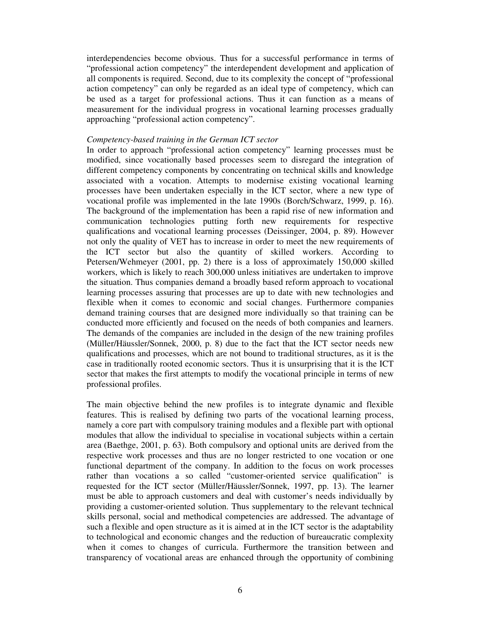interdependencies become obvious. Thus for a successful performance in terms of "professional action competency" the interdependent development and application of all components is required. Second, due to its complexity the concept of "professional action competency" can only be regarded as an ideal type of competency, which can be used as a target for professional actions. Thus it can function as a means of measurement for the individual progress in vocational learning processes gradually approaching "professional action competency".

### *Competency-based training in the German ICT sector*

In order to approach "professional action competency" learning processes must be modified, since vocationally based processes seem to disregard the integration of different competency components by concentrating on technical skills and knowledge associated with a vocation. Attempts to modernise existing vocational learning processes have been undertaken especially in the ICT sector, where a new type of vocational profile was implemented in the late 1990s (Borch/Schwarz, 1999, p. 16). The background of the implementation has been a rapid rise of new information and communication technologies putting forth new requirements for respective qualifications and vocational learning processes (Deissinger, 2004, p. 89). However not only the quality of VET has to increase in order to meet the new requirements of the ICT sector but also the quantity of skilled workers. According to Petersen/Wehmeyer (2001, pp. 2) there is a loss of approximately 150,000 skilled workers, which is likely to reach 300,000 unless initiatives are undertaken to improve the situation. Thus companies demand a broadly based reform approach to vocational learning processes assuring that processes are up to date with new technologies and flexible when it comes to economic and social changes. Furthermore companies demand training courses that are designed more individually so that training can be conducted more efficiently and focused on the needs of both companies and learners. The demands of the companies are included in the design of the new training profiles (Müller/Häussler/Sonnek, 2000, p. 8) due to the fact that the ICT sector needs new qualifications and processes, which are not bound to traditional structures, as it is the case in traditionally rooted economic sectors. Thus it is unsurprising that it is the ICT sector that makes the first attempts to modify the vocational principle in terms of new professional profiles.

The main objective behind the new profiles is to integrate dynamic and flexible features. This is realised by defining two parts of the vocational learning process, namely a core part with compulsory training modules and a flexible part with optional modules that allow the individual to specialise in vocational subjects within a certain area (Baethge, 2001, p. 63). Both compulsory and optional units are derived from the respective work processes and thus are no longer restricted to one vocation or one functional department of the company. In addition to the focus on work processes rather than vocations a so called "customer-oriented service qualification" is requested for the ICT sector (Müller/Häussler/Sonnek, 1997, pp. 13). The learner must be able to approach customers and deal with customer's needs individually by providing a customer-oriented solution. Thus supplementary to the relevant technical skills personal, social and methodical competencies are addressed. The advantage of such a flexible and open structure as it is aimed at in the ICT sector is the adaptability to technological and economic changes and the reduction of bureaucratic complexity when it comes to changes of curricula. Furthermore the transition between and transparency of vocational areas are enhanced through the opportunity of combining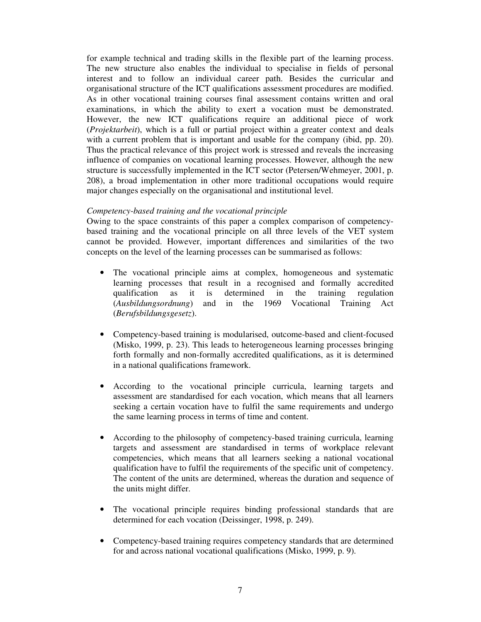for example technical and trading skills in the flexible part of the learning process. The new structure also enables the individual to specialise in fields of personal interest and to follow an individual career path. Besides the curricular and organisational structure of the ICT qualifications assessment procedures are modified. As in other vocational training courses final assessment contains written and oral examinations, in which the ability to exert a vocation must be demonstrated. However, the new ICT qualifications require an additional piece of work (*Projektarbeit*), which is a full or partial project within a greater context and deals with a current problem that is important and usable for the company (ibid, pp. 20). Thus the practical relevance of this project work is stressed and reveals the increasing influence of companies on vocational learning processes. However, although the new structure is successfully implemented in the ICT sector (Petersen/Wehmeyer, 2001, p. 208), a broad implementation in other more traditional occupations would require major changes especially on the organisational and institutional level.

## *Competency-based training and the vocational principle*

Owing to the space constraints of this paper a complex comparison of competencybased training and the vocational principle on all three levels of the VET system cannot be provided. However, important differences and similarities of the two concepts on the level of the learning processes can be summarised as follows:

- The vocational principle aims at complex, homogeneous and systematic learning processes that result in a recognised and formally accredited qualification as it is determined in the training regulation (*Ausbildungsordnung*) and in the 1969 Vocational Training Act (*Berufsbildungsgesetz*).
- Competency-based training is modularised, outcome-based and client-focused (Misko, 1999, p. 23). This leads to heterogeneous learning processes bringing forth formally and non-formally accredited qualifications, as it is determined in a national qualifications framework.
- According to the vocational principle curricula, learning targets and assessment are standardised for each vocation, which means that all learners seeking a certain vocation have to fulfil the same requirements and undergo the same learning process in terms of time and content.
- According to the philosophy of competency-based training curricula, learning targets and assessment are standardised in terms of workplace relevant competencies, which means that all learners seeking a national vocational qualification have to fulfil the requirements of the specific unit of competency. The content of the units are determined, whereas the duration and sequence of the units might differ.
- The vocational principle requires binding professional standards that are determined for each vocation (Deissinger, 1998, p. 249).
- Competency-based training requires competency standards that are determined for and across national vocational qualifications (Misko, 1999, p. 9).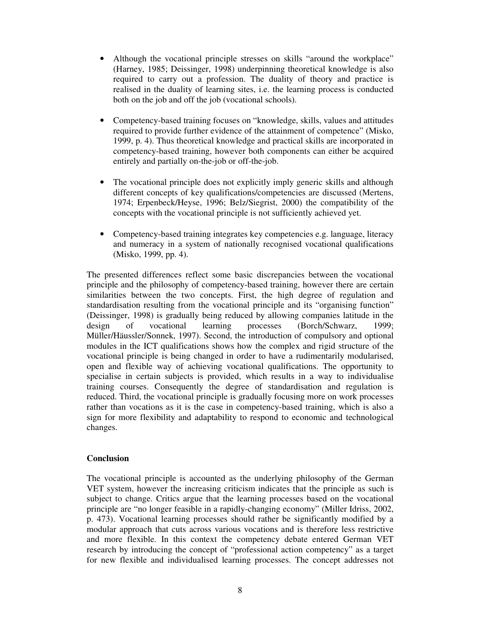- Although the vocational principle stresses on skills "around the workplace" (Harney, 1985; Deissinger, 1998) underpinning theoretical knowledge is also required to carry out a profession. The duality of theory and practice is realised in the duality of learning sites, i.e. the learning process is conducted both on the job and off the job (vocational schools).
- Competency-based training focuses on "knowledge, skills, values and attitudes required to provide further evidence of the attainment of competence" (Misko, 1999, p. 4). Thus theoretical knowledge and practical skills are incorporated in competency-based training, however both components can either be acquired entirely and partially on-the-job or off-the-job.
- The vocational principle does not explicitly imply generic skills and although different concepts of key qualifications/competencies are discussed (Mertens, 1974; Erpenbeck/Heyse, 1996; Belz/Siegrist, 2000) the compatibility of the concepts with the vocational principle is not sufficiently achieved yet.
- Competency-based training integrates key competencies e.g. language, literacy and numeracy in a system of nationally recognised vocational qualifications (Misko, 1999, pp. 4).

The presented differences reflect some basic discrepancies between the vocational principle and the philosophy of competency-based training, however there are certain similarities between the two concepts. First, the high degree of regulation and standardisation resulting from the vocational principle and its "organising function" (Deissinger, 1998) is gradually being reduced by allowing companies latitude in the design of vocational learning processes (Borch/Schwarz, 1999; Müller/Häussler/Sonnek, 1997). Second, the introduction of compulsory and optional modules in the ICT qualifications shows how the complex and rigid structure of the vocational principle is being changed in order to have a rudimentarily modularised, open and flexible way of achieving vocational qualifications. The opportunity to specialise in certain subjects is provided, which results in a way to individualise training courses. Consequently the degree of standardisation and regulation is reduced. Third, the vocational principle is gradually focusing more on work processes rather than vocations as it is the case in competency-based training, which is also a sign for more flexibility and adaptability to respond to economic and technological changes.

# **Conclusion**

The vocational principle is accounted as the underlying philosophy of the German VET system, however the increasing criticism indicates that the principle as such is subject to change. Critics argue that the learning processes based on the vocational principle are "no longer feasible in a rapidly-changing economy" (Miller Idriss, 2002, p. 473). Vocational learning processes should rather be significantly modified by a modular approach that cuts across various vocations and is therefore less restrictive and more flexible. In this context the competency debate entered German VET research by introducing the concept of "professional action competency" as a target for new flexible and individualised learning processes. The concept addresses not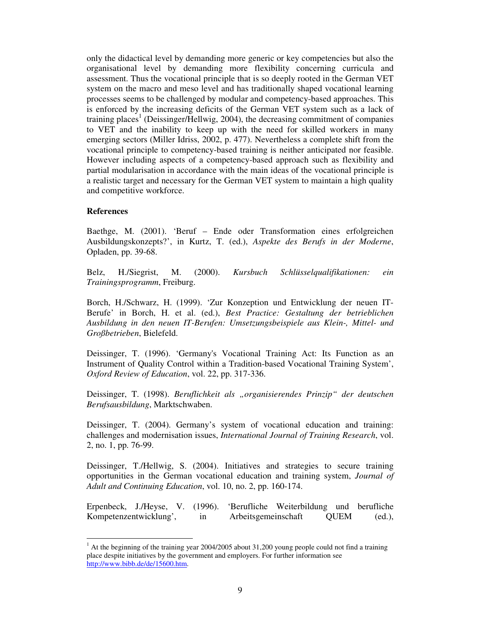only the didactical level by demanding more generic or key competencies but also the organisational level by demanding more flexibility concerning curricula and assessment. Thus the vocational principle that is so deeply rooted in the German VET system on the macro and meso level and has traditionally shaped vocational learning processes seems to be challenged by modular and competency-based approaches. This is enforced by the increasing deficits of the German VET system such as a lack of training places<sup>1</sup> (Deissinger/Hellwig, 2004), the decreasing commitment of companies to VET and the inability to keep up with the need for skilled workers in many emerging sectors (Miller Idriss, 2002, p. 477). Nevertheless a complete shift from the vocational principle to competency-based training is neither anticipated nor feasible. However including aspects of a competency-based approach such as flexibility and partial modularisation in accordance with the main ideas of the vocational principle is a realistic target and necessary for the German VET system to maintain a high quality and competitive workforce.

# **References**

Baethge, M. (2001). 'Beruf – Ende oder Transformation eines erfolgreichen Ausbildungskonzepts?', in Kurtz, T. (ed.), *Aspekte des Berufs in der Moderne*, Opladen, pp. 39-68.

Belz, H./Siegrist, M. (2000). *Kursbuch Schlüsselqualifikationen: ein Trainingsprogramm*, Freiburg.

Borch, H./Schwarz, H. (1999). 'Zur Konzeption und Entwicklung der neuen IT-Berufe' in Borch, H. et al. (ed.), *Best Practice: Gestaltung der betrieblichen Ausbildung in den neuen IT-Berufen: Umsetzungsbeispiele aus Klein-, Mittel- und Großbetrieben*, Bielefeld.

Deissinger, T. (1996). 'Germany's Vocational Training Act: Its Function as an Instrument of Quality Control within a Tradition-based Vocational Training System', *Oxford Review of Education*, vol. 22, pp. 317-336.

Deissinger, T. (1998). *Beruflichkeit als "organisierendes Prinzip" der deutschen Berufsausbildung*, Marktschwaben.

Deissinger, T. (2004). Germany's system of vocational education and training: challenges and modernisation issues, *International Journal of Training Research*, vol. 2, no. 1, pp. 76-99.

Deissinger, T./Hellwig, S. (2004). Initiatives and strategies to secure training opportunities in the German vocational education and training system, *Journal of Adult and Continuing Education*, vol. 10, no. 2, pp. 160-174.

Erpenbeck, J./Heyse, V. (1996). 'Berufliche Weiterbildung und berufliche Kompetenzentwicklung', in Arbeitsgemeinschaft QUEM (ed.),

 $<sup>1</sup>$  At the beginning of the training year 2004/2005 about 31,200 young people could not find a training</sup> place despite initiatives by the government and employers. For further information see http://www.bibb.de/de/15600.htm.